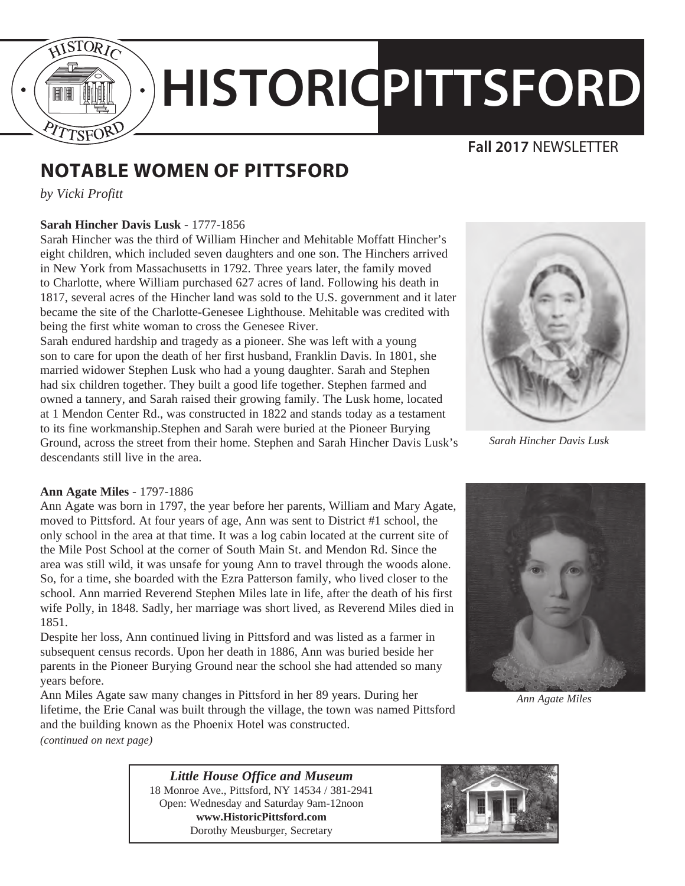

# **HISTORICPITTSFORD**

### **Fall 2017** NEWSLETTER

# **NOTABLE WOMEN OF PITTSFORD**

*by Vicki Profitt*

#### **Sarah Hincher Davis Lusk** - 1777-1856

Sarah Hincher was the third of William Hincher and Mehitable Moffatt Hincher's eight children, which included seven daughters and one son. The Hinchers arrived in New York from Massachusetts in 1792. Three years later, the family moved to Charlotte, where William purchased 627 acres of land. Following his death in 1817, several acres of the Hincher land was sold to the U.S. government and it later became the site of the Charlotte-Genesee Lighthouse. Mehitable was credited with being the first white woman to cross the Genesee River.

Sarah endured hardship and tragedy as a pioneer. She was left with a young son to care for upon the death of her first husband, Franklin Davis. In 1801, she married widower Stephen Lusk who had a young daughter. Sarah and Stephen had six children together. They built a good life together. Stephen farmed and owned a tannery, and Sarah raised their growing family. The Lusk home, located at 1 Mendon Center Rd., was constructed in 1822 and stands today as a testament to its fine workmanship.Stephen and Sarah were buried at the Pioneer Burying Ground, across the street from their home. Stephen and Sarah Hincher Davis Lusk's descendants still live in the area.



*Sarah Hincher Davis Lusk*

#### **Ann Agate Miles** - 1797-1886

Ann Agate was born in 1797, the year before her parents, William and Mary Agate, moved to Pittsford. At four years of age, Ann was sent to District #1 school, the only school in the area at that time. It was a log cabin located at the current site of the Mile Post School at the corner of South Main St. and Mendon Rd. Since the area was still wild, it was unsafe for young Ann to travel through the woods alone. So, for a time, she boarded with the Ezra Patterson family, who lived closer to the school. Ann married Reverend Stephen Miles late in life, after the death of his first wife Polly, in 1848. Sadly, her marriage was short lived, as Reverend Miles died in 1851.

Despite her loss, Ann continued living in Pittsford and was listed as a farmer in subsequent census records. Upon her death in 1886, Ann was buried beside her parents in the Pioneer Burying Ground near the school she had attended so many years before.

Ann Miles Agate saw many changes in Pittsford in her 89 years. During her lifetime, the Erie Canal was built through the village, the town was named Pittsford and the building known as the Phoenix Hotel was constructed.



*Ann Agate Miles*

*(continued on next page)*

*Little House Office and Museum* 18 Monroe Ave., Pittsford, NY 14534 / 381-2941 Open: Wednesday and Saturday 9am-12noon **www.HistoricPittsford.com** Dorothy Meusburger, Secretary

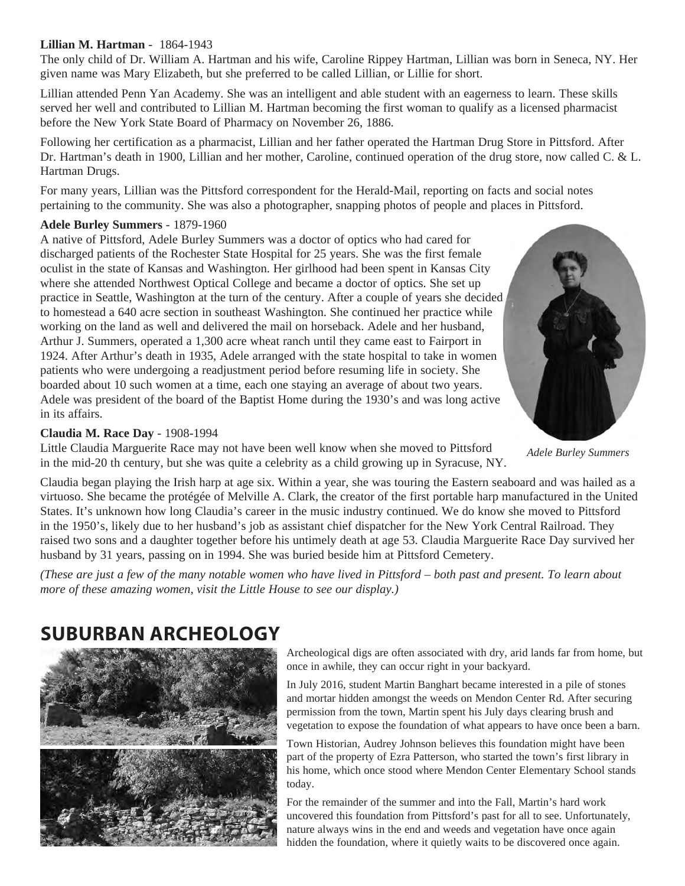#### **Lillian M. Hartman** - 1864-1943

The only child of Dr. William A. Hartman and his wife, Caroline Rippey Hartman, Lillian was born in Seneca, NY. Her given name was Mary Elizabeth, but she preferred to be called Lillian, or Lillie for short.

Lillian attended Penn Yan Academy. She was an intelligent and able student with an eagerness to learn. These skills served her well and contributed to Lillian M. Hartman becoming the first woman to qualify as a licensed pharmacist before the New York State Board of Pharmacy on November 26, 1886.

Following her certification as a pharmacist, Lillian and her father operated the Hartman Drug Store in Pittsford. After Dr. Hartman's death in 1900, Lillian and her mother, Caroline, continued operation of the drug store, now called C. & L. Hartman Drugs.

For many years, Lillian was the Pittsford correspondent for the Herald-Mail, reporting on facts and social notes pertaining to the community. She was also a photographer, snapping photos of people and places in Pittsford.

#### **Adele Burley Summers** - 1879-1960

A native of Pittsford, Adele Burley Summers was a doctor of optics who had cared for discharged patients of the Rochester State Hospital for 25 years. She was the first female oculist in the state of Kansas and Washington. Her girlhood had been spent in Kansas City where she attended Northwest Optical College and became a doctor of optics. She set up practice in Seattle, Washington at the turn of the century. After a couple of years she decided to homestead a 640 acre section in southeast Washington. She continued her practice while working on the land as well and delivered the mail on horseback. Adele and her husband, Arthur J. Summers, operated a 1,300 acre wheat ranch until they came east to Fairport in 1924. After Arthur's death in 1935, Adele arranged with the state hospital to take in women patients who were undergoing a readjustment period before resuming life in society. She boarded about 10 such women at a time, each one staying an average of about two years. Adele was president of the board of the Baptist Home during the 1930's and was long active in its affairs.

#### **Claudia M. Race Day** - 1908-1994

Little Claudia Marguerite Race may not have been well know when she moved to Pittsford in the mid-20 th century, but she was quite a celebrity as a child growing up in Syracuse, NY.

*Adele Burley Summers*

Claudia began playing the Irish harp at age six. Within a year, she was touring the Eastern seaboard and was hailed as a virtuoso. She became the protégée of Melville A. Clark, the creator of the first portable harp manufactured in the United States. It's unknown how long Claudia's career in the music industry continued. We do know she moved to Pittsford in the 1950's, likely due to her husband's job as assistant chief dispatcher for the New York Central Railroad. They raised two sons and a daughter together before his untimely death at age 53. Claudia Marguerite Race Day survived her husband by 31 years, passing on in 1994. She was buried beside him at Pittsford Cemetery.

*(These are just a few of the many notable women who have lived in Pittsford – both past and present. To learn about more of these amazing women, visit the Little House to see our display.)*

## **SUBURBAN ARCHEOLOGY**



Archeological digs are often associated with dry, arid lands far from home, but once in awhile, they can occur right in your backyard.

In July 2016, student Martin Banghart became interested in a pile of stones and mortar hidden amongst the weeds on Mendon Center Rd. After securing permission from the town, Martin spent his July days clearing brush and vegetation to expose the foundation of what appears to have once been a barn.

Town Historian, Audrey Johnson believes this foundation might have been part of the property of Ezra Patterson, who started the town's first library in his home, which once stood where Mendon Center Elementary School stands today.

For the remainder of the summer and into the Fall, Martin's hard work uncovered this foundation from Pittsford's past for all to see. Unfortunately, nature always wins in the end and weeds and vegetation have once again hidden the foundation, where it quietly waits to be discovered once again.

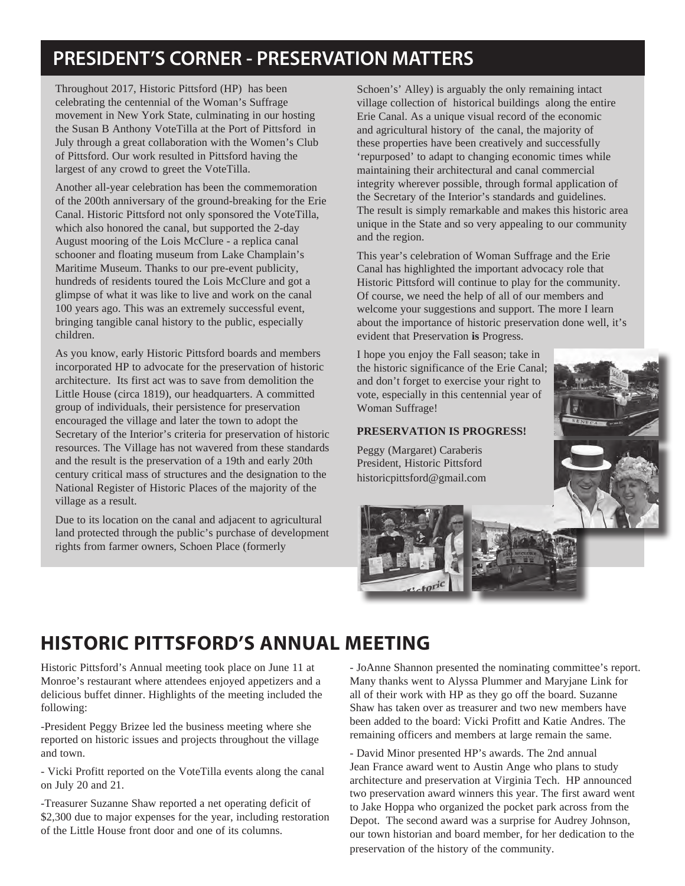## **PRESIDENT'S CORNER - PRESERVATION MATTERS**

Throughout 2017, Historic Pittsford (HP) has been celebrating the centennial of the Woman's Suffrage movement in New York State, culminating in our hosting the Susan B Anthony VoteTilla at the Port of Pittsford in July through a great collaboration with the Women's Club of Pittsford. Our work resulted in Pittsford having the largest of any crowd to greet the VoteTilla.

Another all-year celebration has been the commemoration of the 200th anniversary of the ground-breaking for the Erie Canal. Historic Pittsford not only sponsored the VoteTilla, which also honored the canal, but supported the 2-day August mooring of the Lois McClure - a replica canal schooner and floating museum from Lake Champlain's Maritime Museum. Thanks to our pre-event publicity, hundreds of residents toured the Lois McClure and got a glimpse of what it was like to live and work on the canal 100 years ago. This was an extremely successful event, bringing tangible canal history to the public, especially children.

As you know, early Historic Pittsford boards and members incorporated HP to advocate for the preservation of historic architecture. Its first act was to save from demolition the Little House (circa 1819), our headquarters. A committed group of individuals, their persistence for preservation encouraged the village and later the town to adopt the Secretary of the Interior's criteria for preservation of historic resources. The Village has not wavered from these standards and the result is the preservation of a 19th and early 20th century critical mass of structures and the designation to the National Register of Historic Places of the majority of the village as a result.

Due to its location on the canal and adjacent to agricultural land protected through the public's purchase of development rights from farmer owners, Schoen Place (formerly

Schoen's' Alley) is arguably the only remaining intact village collection of historical buildings along the entire Erie Canal. As a unique visual record of the economic and agricultural history of the canal, the majority of these properties have been creatively and successfully 'repurposed' to adapt to changing economic times while maintaining their architectural and canal commercial integrity wherever possible, through formal application of the Secretary of the Interior's standards and guidelines. The result is simply remarkable and makes this historic area unique in the State and so very appealing to our community and the region.

This year's celebration of Woman Suffrage and the Erie Canal has highlighted the important advocacy role that Historic Pittsford will continue to play for the community. Of course, we need the help of all of our members and welcome your suggestions and support. The more I learn about the importance of historic preservation done well, it's evident that Preservation **is** Progress.

I hope you enjoy the Fall season; take in the historic significance of the Erie Canal; and don't forget to exercise your right to vote, especially in this centennial year of Woman Suffrage!

#### **PRESERVATION IS PROGRESS!**

Peggy (Margaret) Caraberis President, Historic Pittsford historicpittsford@gmail.com





## **HISTORIC PITTSFORD'S ANNUAL MEETING**

Historic Pittsford's Annual meeting took place on June 11 at Monroe's restaurant where attendees enjoyed appetizers and a delicious buffet dinner. Highlights of the meeting included the following:

-President Peggy Brizee led the business meeting where she reported on historic issues and projects throughout the village and town.

- Vicki Profitt reported on the VoteTilla events along the canal on July 20 and 21.

-Treasurer Suzanne Shaw reported a net operating deficit of \$2,300 due to major expenses for the year, including restoration of the Little House front door and one of its columns.

- JoAnne Shannon presented the nominating committee's report. Many thanks went to Alyssa Plummer and Maryjane Link for all of their work with HP as they go off the board. Suzanne Shaw has taken over as treasurer and two new members have been added to the board: Vicki Profitt and Katie Andres. The remaining officers and members at large remain the same.

- David Minor presented HP's awards. The 2nd annual Jean France award went to Austin Ange who plans to study architecture and preservation at Virginia Tech. HP announced two preservation award winners this year. The first award went to Jake Hoppa who organized the pocket park across from the Depot. The second award was a surprise for Audrey Johnson, our town historian and board member, for her dedication to the preservation of the history of the community.